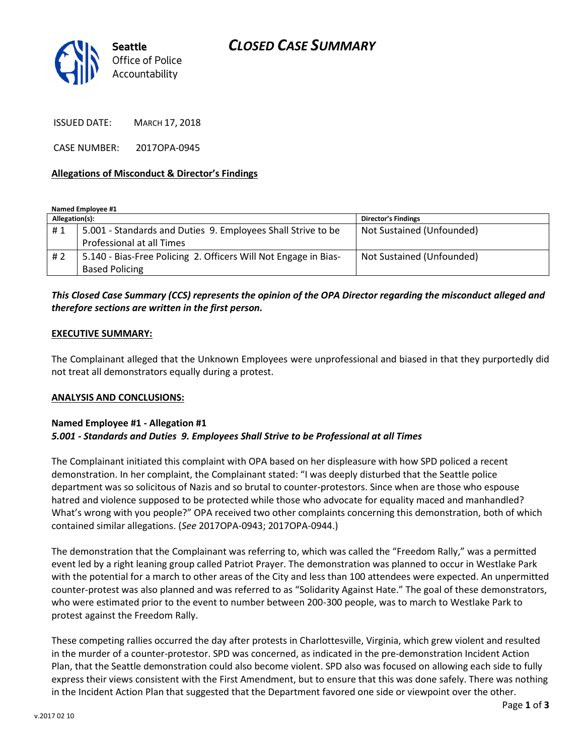

ISSUED DATE: MARCH 17, 2018

CASE NUMBER: 2017OPA-0945

### **Allegations of Misconduct & Director's Findings**

**Named Employee #1**

| Allegation(s): |                                                                 | Director's Findings       |
|----------------|-----------------------------------------------------------------|---------------------------|
| #1             | 5.001 - Standards and Duties 9. Employees Shall Strive to be    | Not Sustained (Unfounded) |
|                | Professional at all Times                                       |                           |
| #2             | 5.140 - Bias-Free Policing 2. Officers Will Not Engage in Bias- | Not Sustained (Unfounded) |
|                | <b>Based Policing</b>                                           |                           |

# *This Closed Case Summary (CCS) represents the opinion of the OPA Director regarding the misconduct alleged and therefore sections are written in the first person.*

#### **EXECUTIVE SUMMARY:**

The Complainant alleged that the Unknown Employees were unprofessional and biased in that they purportedly did not treat all demonstrators equally during a protest.

## **ANALYSIS AND CONCLUSIONS:**

## **Named Employee #1 - Allegation #1** *5.001 - Standards and Duties 9. Employees Shall Strive to be Professional at all Times*

The Complainant initiated this complaint with OPA based on her displeasure with how SPD policed a recent demonstration. In her complaint, the Complainant stated: "I was deeply disturbed that the Seattle police department was so solicitous of Nazis and so brutal to counter-protestors. Since when are those who espouse hatred and violence supposed to be protected while those who advocate for equality maced and manhandled? What's wrong with you people?" OPA received two other complaints concerning this demonstration, both of which contained similar allegations. (*See* 2017OPA-0943; 2017OPA-0944.)

The demonstration that the Complainant was referring to, which was called the "Freedom Rally," was a permitted event led by a right leaning group called Patriot Prayer. The demonstration was planned to occur in Westlake Park with the potential for a march to other areas of the City and less than 100 attendees were expected. An unpermitted counter-protest was also planned and was referred to as "Solidarity Against Hate." The goal of these demonstrators, who were estimated prior to the event to number between 200-300 people, was to march to Westlake Park to protest against the Freedom Rally.

These competing rallies occurred the day after protests in Charlottesville, Virginia, which grew violent and resulted in the murder of a counter-protestor. SPD was concerned, as indicated in the pre-demonstration Incident Action Plan, that the Seattle demonstration could also become violent. SPD also was focused on allowing each side to fully express their views consistent with the First Amendment, but to ensure that this was done safely. There was nothing in the Incident Action Plan that suggested that the Department favored one side or viewpoint over the other.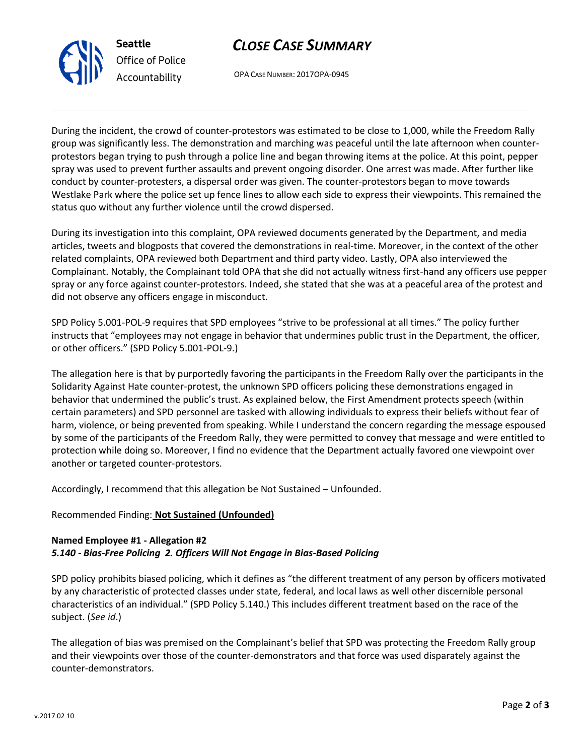



OPA CASE NUMBER: 2017OPA-0945

During the incident, the crowd of counter-protestors was estimated to be close to 1,000, while the Freedom Rally group was significantly less. The demonstration and marching was peaceful until the late afternoon when counterprotestors began trying to push through a police line and began throwing items at the police. At this point, pepper spray was used to prevent further assaults and prevent ongoing disorder. One arrest was made. After further like conduct by counter-protesters, a dispersal order was given. The counter-protestors began to move towards Westlake Park where the police set up fence lines to allow each side to express their viewpoints. This remained the status quo without any further violence until the crowd dispersed.

During its investigation into this complaint, OPA reviewed documents generated by the Department, and media articles, tweets and blogposts that covered the demonstrations in real-time. Moreover, in the context of the other related complaints, OPA reviewed both Department and third party video. Lastly, OPA also interviewed the Complainant. Notably, the Complainant told OPA that she did not actually witness first-hand any officers use pepper spray or any force against counter-protestors. Indeed, she stated that she was at a peaceful area of the protest and did not observe any officers engage in misconduct.

SPD Policy 5.001-POL-9 requires that SPD employees "strive to be professional at all times." The policy further instructs that "employees may not engage in behavior that undermines public trust in the Department, the officer, or other officers." (SPD Policy 5.001-POL-9.)

The allegation here is that by purportedly favoring the participants in the Freedom Rally over the participants in the Solidarity Against Hate counter-protest, the unknown SPD officers policing these demonstrations engaged in behavior that undermined the public's trust. As explained below, the First Amendment protects speech (within certain parameters) and SPD personnel are tasked with allowing individuals to express their beliefs without fear of harm, violence, or being prevented from speaking. While I understand the concern regarding the message espoused by some of the participants of the Freedom Rally, they were permitted to convey that message and were entitled to protection while doing so. Moreover, I find no evidence that the Department actually favored one viewpoint over another or targeted counter-protestors.

Accordingly, I recommend that this allegation be Not Sustained – Unfounded.

# Recommended Finding: **Not Sustained (Unfounded)**

# **Named Employee #1 - Allegation #2** *5.140 - Bias-Free Policing 2. Officers Will Not Engage in Bias-Based Policing*

SPD policy prohibits biased policing, which it defines as "the different treatment of any person by officers motivated by any characteristic of protected classes under state, federal, and local laws as well other discernible personal characteristics of an individual." (SPD Policy 5.140.) This includes different treatment based on the race of the subject. (*See id*.)

The allegation of bias was premised on the Complainant's belief that SPD was protecting the Freedom Rally group and their viewpoints over those of the counter-demonstrators and that force was used disparately against the counter-demonstrators.